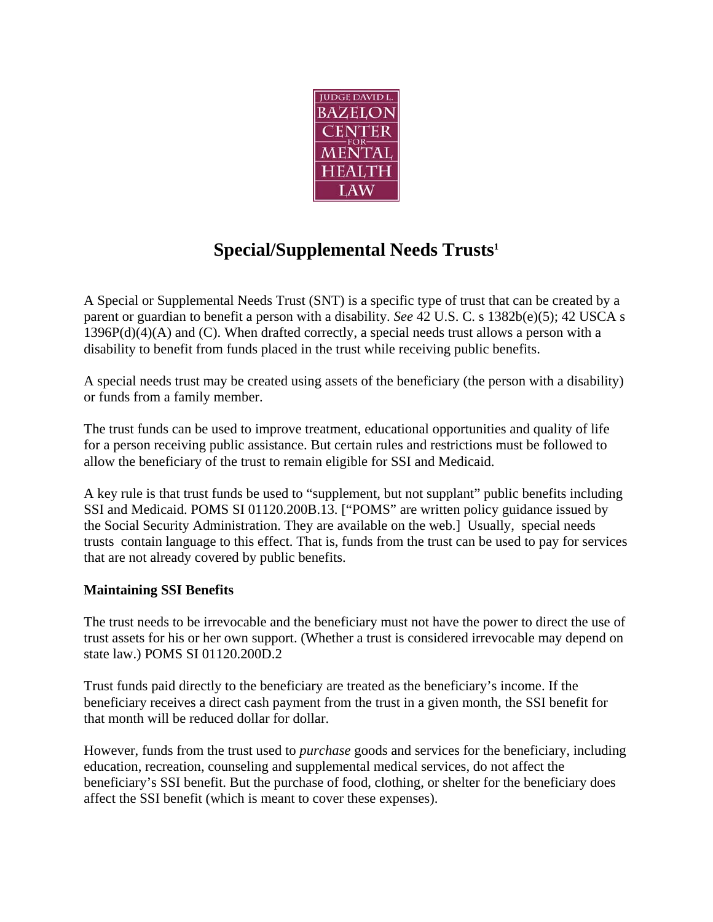

# **Special/Supplemental Needs Trusts1**

A Special or Supplemental Needs Trust (SNT) is a specific type of trust that can be created by a parent or guardian to benefit a person with a disability. *See* 42 U.S. C. s 1382b(e)(5); 42 USCA s  $1396P(d)(4)(A)$  and (C). When drafted correctly, a special needs trust allows a person with a disability to benefit from funds placed in the trust while receiving public benefits.

A special needs trust may be created using assets of the beneficiary (the person with a disability) or funds from a family member.

The trust funds can be used to improve treatment, educational opportunities and quality of life for a person receiving public assistance. But certain rules and restrictions must be followed to allow the beneficiary of the trust to remain eligible for SSI and Medicaid.

A key rule is that trust funds be used to "supplement, but not supplant" public benefits including SSI and Medicaid. POMS SI 01120.200B.13. ["POMS" are written policy guidance issued by the Social Security Administration. They are available on the web.] Usually, special needs trusts contain language to this effect. That is, funds from the trust can be used to pay for services that are not already covered by public benefits.

### **Maintaining SSI Benefits**

The trust needs to be irrevocable and the beneficiary must not have the power to direct the use of trust assets for his or her own support. (Whether a trust is considered irrevocable may depend on state law.) POMS SI 01120.200D.2

Trust funds paid directly to the beneficiary are treated as the beneficiary's income. If the beneficiary receives a direct cash payment from the trust in a given month, the SSI benefit for that month will be reduced dollar for dollar.

However, funds from the trust used to *purchase* goods and services for the beneficiary, including education, recreation, counseling and supplemental medical services, do not affect the beneficiary's SSI benefit. But the purchase of food, clothing, or shelter for the beneficiary does affect the SSI benefit (which is meant to cover these expenses).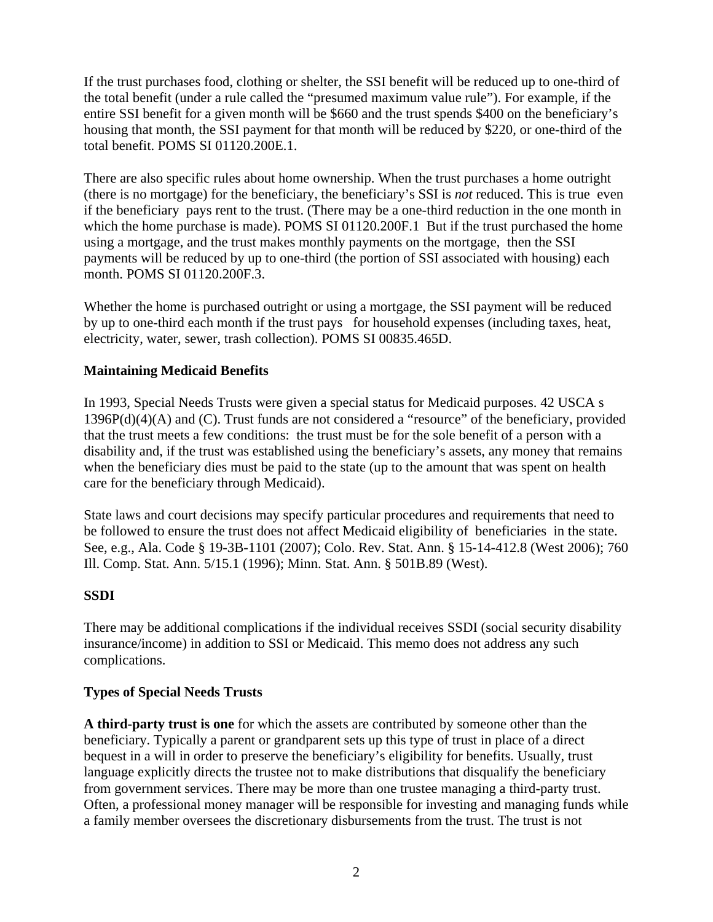If the trust purchases food, clothing or shelter, the SSI benefit will be reduced up to one-third of the total benefit (under a rule called the "presumed maximum value rule"). For example, if the entire SSI benefit for a given month will be \$660 and the trust spends \$400 on the beneficiary's housing that month, the SSI payment for that month will be reduced by \$220, or one-third of the total benefit. POMS SI 01120.200E.1.

There are also specific rules about home ownership. When the trust purchases a home outright (there is no mortgage) for the beneficiary, the beneficiary's SSI is *not* reduced. This is true even if the beneficiary pays rent to the trust. (There may be a one-third reduction in the one month in which the home purchase is made). POMS SI 01120.200F.1 But if the trust purchased the home using a mortgage, and the trust makes monthly payments on the mortgage, then the SSI payments will be reduced by up to one-third (the portion of SSI associated with housing) each month. POMS SI 01120.200F.3.

Whether the home is purchased outright or using a mortgage, the SSI payment will be reduced by up to one-third each month if the trust pays for household expenses (including taxes, heat, electricity, water, sewer, trash collection). POMS SI 00835.465D.

### **Maintaining Medicaid Benefits**

In 1993, Special Needs Trusts were given a special status for Medicaid purposes. 42 USCA s 1396P(d)(4)(A) and (C). Trust funds are not considered a "resource" of the beneficiary, provided that the trust meets a few conditions: the trust must be for the sole benefit of a person with a disability and, if the trust was established using the beneficiary's assets, any money that remains when the beneficiary dies must be paid to the state (up to the amount that was spent on health care for the beneficiary through Medicaid).

State laws and court decisions may specify particular procedures and requirements that need to be followed to ensure the trust does not affect Medicaid eligibility of beneficiaries in the state. See, e.g., Ala. Code § 19-3B-1101 (2007); Colo. Rev. Stat. Ann. § 15-14-412.8 (West 2006); 760 Ill. Comp. Stat. Ann. 5/15.1 (1996); Minn. Stat. Ann. § 501B.89 (West).

### **SSDI**

There may be additional complications if the individual receives SSDI (social security disability insurance/income) in addition to SSI or Medicaid. This memo does not address any such complications.

### **Types of Special Needs Trusts**

**A third-party trust is one** for which the assets are contributed by someone other than the beneficiary. Typically a parent or grandparent sets up this type of trust in place of a direct bequest in a will in order to preserve the beneficiary's eligibility for benefits. Usually, trust language explicitly directs the trustee not to make distributions that disqualify the beneficiary from government services. There may be more than one trustee managing a third-party trust. Often, a professional money manager will be responsible for investing and managing funds while a family member oversees the discretionary disbursements from the trust. The trust is not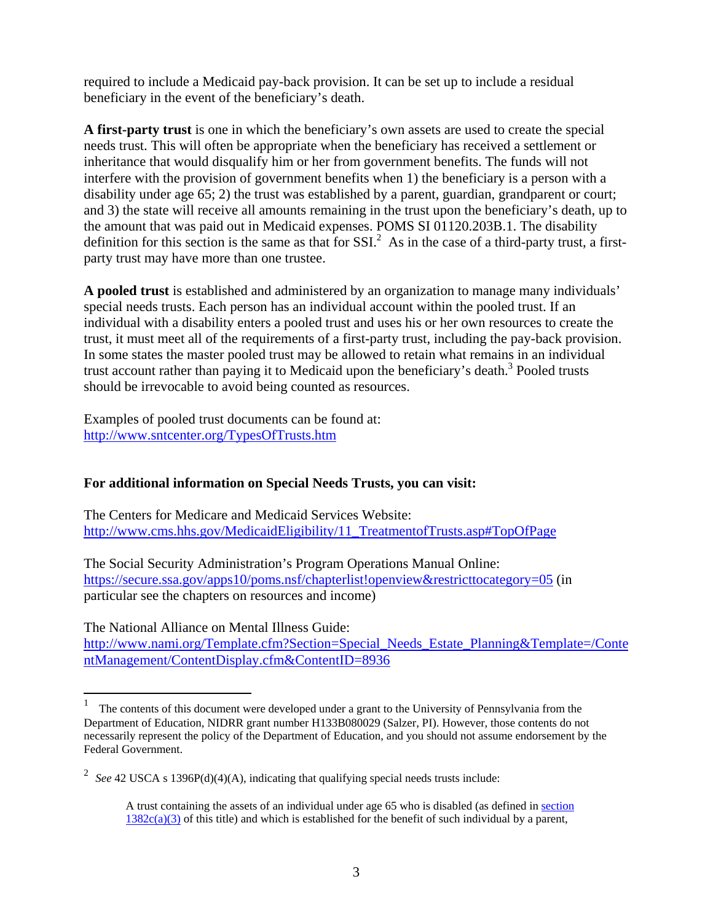required to include a Medicaid pay-back provision. It can be set up to include a residual beneficiary in the event of the beneficiary's death.

**A first-party trust** is one in which the beneficiary's own assets are used to create the special needs trust. This will often be appropriate when the beneficiary has received a settlement or inheritance that would disqualify him or her from government benefits. The funds will not interfere with the provision of government benefits when 1) the beneficiary is a person with a disability under age 65; 2) the trust was established by a parent, guardian, grandparent or court; and 3) the state will receive all amounts remaining in the trust upon the beneficiary's death, up to the amount that was paid out in Medicaid expenses. POMS SI 01120.203B.1. The disability definition for this section is the same as that for  $SSI.^2$ . As in the case of a third-party trust, a firstparty trust may have more than one trustee.

**A pooled trust** is established and administered by an organization to manage many individuals' special needs trusts. Each person has an individual account within the pooled trust. If an individual with a disability enters a pooled trust and uses his or her own resources to create the trust, it must meet all of the requirements of a first-party trust, including the pay-back provision. In some states the master pooled trust may be allowed to retain what remains in an individual trust account rather than paying it to Medicaid upon the beneficiary's death.<sup>3</sup> Pooled trusts should be irrevocable to avoid being counted as resources.

Examples of pooled trust documents can be found at: http://www.sntcenter.org/TypesOfTrusts.htm

## **For additional information on Special Needs Trusts, you can visit:**

The Centers for Medicare and Medicaid Services Website: http://www.cms.hhs.gov/MedicaidEligibility/11\_TreatmentofTrusts.asp#TopOfPage

The Social Security Administration's Program Operations Manual Online: https://secure.ssa.gov/apps10/poms.nsf/chapterlist!openview&restricttocategory=05 (in particular see the chapters on resources and income)

The National Alliance on Mental Illness Guide:

http://www.nami.org/Template.cfm?Section=Special\_Needs\_Estate\_Planning&Template=/Conte ntManagement/ContentDisplay.cfm&ContentID=8936

 $\frac{1}{1}$  The contents of this document were developed under a grant to the University of Pennsylvania from the Department of Education, NIDRR grant number H133B080029 (Salzer, PI). However, those contents do not necessarily represent the policy of the Department of Education, and you should not assume endorsement by the Federal Government.

<sup>&</sup>lt;sup>2</sup> See 42 USCA s 1396P(d)(4)(A), indicating that qualifying special needs trusts include:

A trust containing the assets of an individual under age 65 who is disabled (as defined in section  $1382c(a)(3)$  of this title) and which is established for the benefit of such individual by a parent,